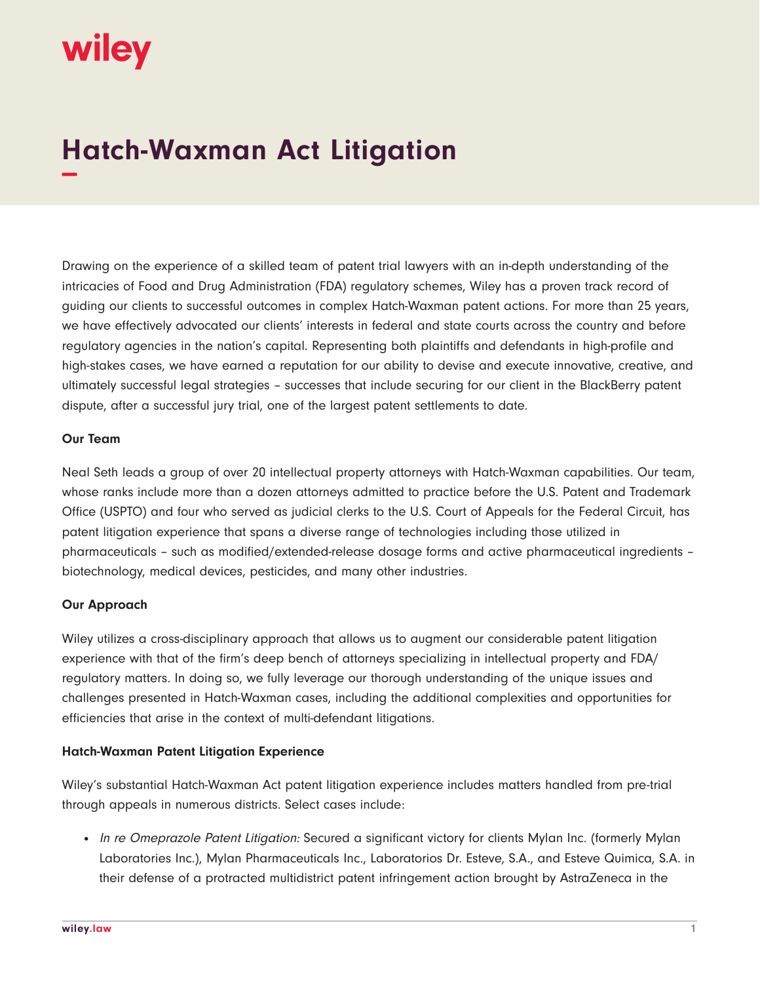# wiley

## **Hatch-Waxman Act Litigation −**

Drawing on the experience of a skilled team of patent trial lawyers with an in-depth understanding of the intricacies of Food and Drug Administration (FDA) regulatory schemes, Wiley has a proven track record of guiding our clients to successful outcomes in complex Hatch-Waxman patent actions. For more than 25 years, we have effectively advocated our clients' interests in federal and state courts across the country and before regulatory agencies in the nation's capital. Representing both plaintiffs and defendants in high-profile and high-stakes cases, we have earned a reputation for our ability to devise and execute innovative, creative, and ultimately successful legal strategies – successes that include securing for our client in the BlackBerry patent dispute, after a successful jury trial, one of the largest patent settlements to date.

#### **Our Team**

Neal Seth leads a group of over 20 intellectual property attorneys with Hatch-Waxman capabilities. Our team, whose ranks include more than a dozen attorneys admitted to practice before the U.S. Patent and Trademark Office (USPTO) and four who served as judicial clerks to the U.S. Court of Appeals for the Federal Circuit, has patent litigation experience that spans a diverse range of technologies including those utilized in pharmaceuticals – such as modified/extended-release dosage forms and active pharmaceutical ingredients – biotechnology, medical devices, pesticides, and many other industries.

#### **Our Approach**

Wiley utilizes a cross-disciplinary approach that allows us to augment our considerable patent litigation experience with that of the firm's deep bench of attorneys specializing in intellectual property and FDA/ regulatory matters. In doing so, we fully leverage our thorough understanding of the unique issues and challenges presented in Hatch-Waxman cases, including the additional complexities and opportunities for efficiencies that arise in the context of multi-defendant litigations.

#### **Hatch-Waxman Patent Litigation Experience**

Wiley's substantial Hatch-Waxman Act patent litigation experience includes matters handled from pre-trial through appeals in numerous districts. Select cases include:

• In re Omeprazole Patent Litigation: Secured a significant victory for clients Mylan Inc. (formerly Mylan Laboratories Inc.), Mylan Pharmaceuticals Inc., Laboratorios Dr. Esteve, S.A., and Esteve Quimica, S.A. in their defense of a protracted multidistrict patent infringement action brought by AstraZeneca in the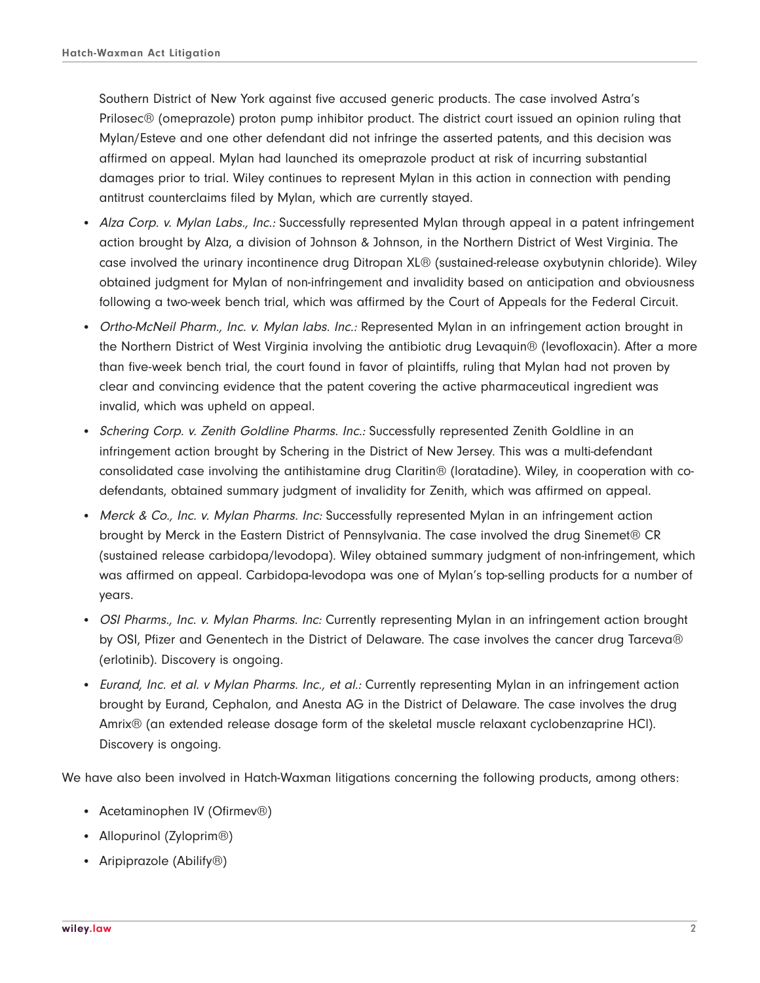Southern District of New York against five accused generic products. The case involved Astra's Prilosec® (omeprazole) proton pump inhibitor product. The district court issued an opinion ruling that Mylan/Esteve and one other defendant did not infringe the asserted patents, and this decision was affirmed on appeal. Mylan had launched its omeprazole product at risk of incurring substantial damages prior to trial. Wiley continues to represent Mylan in this action in connection with pending antitrust counterclaims filed by Mylan, which are currently stayed.

- Alza Corp. v. Mylan Labs., Inc.: Successfully represented Mylan through appeal in a patent infringement action brought by Alza, a division of Johnson & Johnson, in the Northern District of West Virginia. The case involved the urinary incontinence drug Ditropan XL® (sustained-release oxybutynin chloride). Wiley obtained judgment for Mylan of non-infringement and invalidity based on anticipation and obviousness following a two-week bench trial, which was affirmed by the Court of Appeals for the Federal Circuit.
- Ortho-McNeil Pharm., Inc. v. Mylan labs. Inc.: Represented Mylan in an infringement action brought in the Northern District of West Virginia involving the antibiotic drug Levaquin® (levofloxacin). After a more than five-week bench trial, the court found in favor of plaintiffs, ruling that Mylan had not proven by clear and convincing evidence that the patent covering the active pharmaceutical ingredient was invalid, which was upheld on appeal.
- Schering Corp. v. Zenith Goldline Pharms. Inc.: Successfully represented Zenith Goldline in an infringement action brought by Schering in the District of New Jersey. This was a multi-defendant consolidated case involving the antihistamine drug Claritin® (loratadine). Wiley, in cooperation with codefendants, obtained summary judgment of invalidity for Zenith, which was affirmed on appeal.
- Merck & Co., Inc. v. Mylan Pharms. Inc: Successfully represented Mylan in an infringement action brought by Merck in the Eastern District of Pennsylvania. The case involved the drug Sinemet® CR (sustained release carbidopa/levodopa). Wiley obtained summary judgment of non-infringement, which was affirmed on appeal. Carbidopa-levodopa was one of Mylan's top-selling products for a number of years.
- OSI Pharms., Inc. v. Mylan Pharms. Inc: Currently representing Mylan in an infringement action brought by OSI, Pfizer and Genentech in the District of Delaware. The case involves the cancer drug Tarceva® (erlotinib). Discovery is ongoing.
- Eurand, Inc. et al. v Mylan Pharms. Inc., et al.: Currently representing Mylan in an infringement action brought by Eurand, Cephalon, and Anesta AG in the District of Delaware. The case involves the drug Amrix® (an extended release dosage form of the skeletal muscle relaxant cyclobenzaprine HCl). Discovery is ongoing.

We have also been involved in Hatch-Waxman litigations concerning the following products, among others:

- Acetaminophen IV (Ofirmev®)
- Allopurinol (Zyloprim<sup>®</sup>)
- Aripiprazole (Abilify<sup>®</sup>)